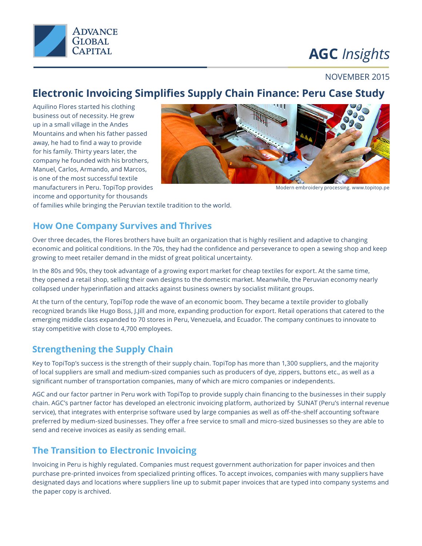

# **AGC** *Insights*

#### NOVEMBER 2015

## **Electronic Invoicing Simplifies Supply Chain Finance: Peru Case Study**

Aquilino Flores started his clothing business out of necessity. He grew up in a small village in the Andes Mountains and when his father passed away, he had to find a way to provide for his family. Thirty years later, the company he founded with his brothers, Manuel, Carlos, Armando, and Marcos, is one of the most successful textile manufacturers in Peru. TopiTop provides income and opportunity for thousands



Modern embroidery processing. www.topitop.pe

of families while bringing the Peruvian textile tradition to the world.

#### **How One Company Survives and Thrives**

Over three decades, the Flores brothers have built an organization that is highly resilient and adaptive to changing economic and political conditions. In the 70s, they had the confidence and perseverance to open a sewing shop and keep growing to meet retailer demand in the midst of great political uncertainty.

In the 80s and 90s, they took advantage of a growing export market for cheap textiles for export. At the same time, they opened a retail shop, selling their own designs to the domestic market. Meanwhile, the Peruvian economy nearly collapsed under hyperinflation and attacks against business owners by socialist militant groups.

At the turn of the century, TopiTop rode the wave of an economic boom. They became a textile provider to globally recognized brands like Hugo Boss, J.Jill and more, expanding production for export. Retail operations that catered to the emerging middle class expanded to 70 stores in Peru, Venezuela, and Ecuador. The company continues to innovate to stay competitive with close to 4,700 employees.

### **Strengthening the Supply Chain**

Key to TopiTop's success is the strength of their supply chain. TopiTop has more than 1,300 suppliers, and the majority of local suppliers are small and medium-sized companies such as producers of dye, zippers, buttons etc., as well as a significant number of transportation companies, many of which are micro companies or independents.

AGC and our factor partner in Peru work with TopiTop to provide supply chain financing to the businesses in their supply chain. AGC's partner factor has developed an electronic invoicing platform, authorized by SUNAT (Peru's internal revenue service), that integrates with enterprise software used by large companies as well as off-the-shelf accounting software preferred by medium-sized businesses. They offer a free service to small and micro-sized businesses so they are able to send and receive invoices as easily as sending email.

### **The Transition to Electronic Invoicing**

Invoicing in Peru is highly regulated. Companies must request government authorization for paper invoices and then purchase pre-printed invoices from specialized printing offices. To accept invoices, companies with many suppliers have designated days and locations where suppliers line up to submit paper invoices that are typed into company systems and the paper copy is archived.